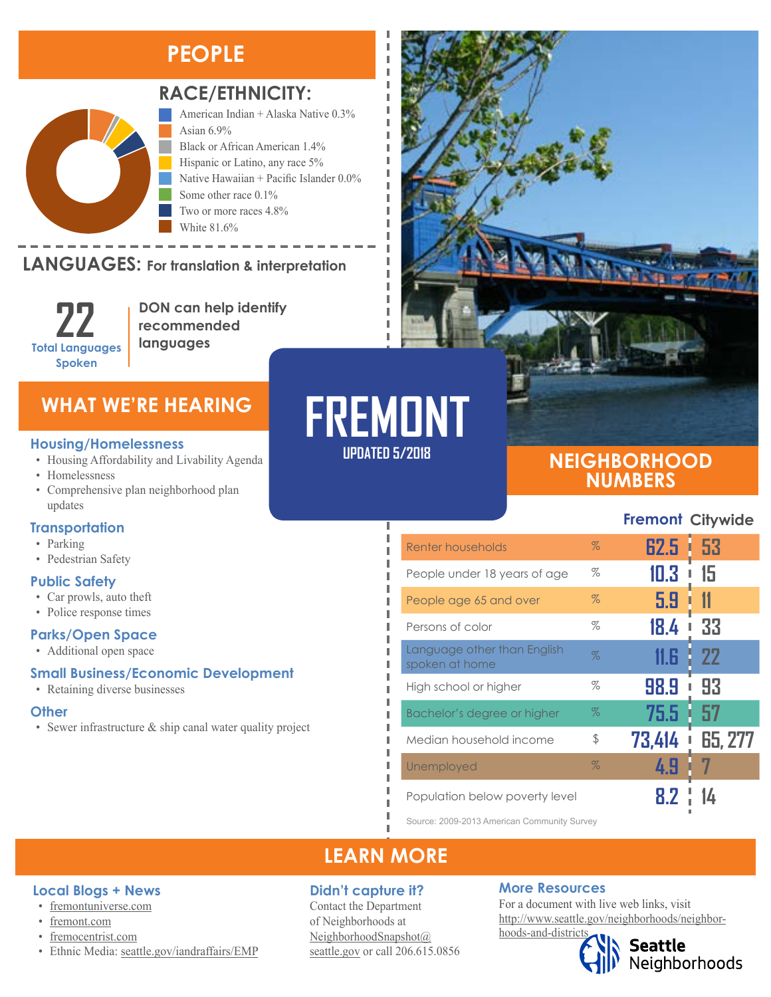### **PEOPLE**



### **RACE/ETHNICITY:**

American Indian + Alaska Native 0.3% Asian 6.9% Black or African American 1.4% Hispanic or Latino, any race 5% Native Hawaiian + Pacific Islander 0.0% Some other race 0.1% Two or more races 4.8% White 81.6%

#### **LANGUAGES:** For translation & interpretation  $\mathbb{R}$  is the Other Pacific Islands  $\mathbb{R}$



American Indian and Alaska Native Asian

**DON can help identify recommended languages**

### **Housing/Homelessness**

- Housing Affordability and Livability Agenda
- Homelessness
- Comprehensive plan neighborhood plan updates

### **Transportation**

- Parking
- Pedestrian Safety

### **Public Safety**

- Car prowls, auto theft
- Police response times

### **Parks/Open Space**

• Additional open space

### **Small Business/Economic Development**

• Retaining diverse businesses

### **Other**

• Sewer infrastructure & ship canal water quality project



### **NEIGHBORHOOD NUMBERS**

**Fremont Citywide**

| Renter households                             | $\%$ | 62.5<br>L | -53     |
|-----------------------------------------------|------|-----------|---------|
| People under 18 years of age                  | %    | 10.3      | 15      |
| People age 65 and over                        | $\%$ | 5.9       |         |
| Persons of color                              | %    | 18.4      | 33      |
| Language other than English<br>spoken at home | $\%$ | 11.6      | 22      |
| High school or higher                         | %    | 98.9<br>ı | 93      |
| Bachelor's degree or higher                   | $\%$ | 75.5      | 57      |
| Median household income                       | \$   | 73,414    | 65, 277 |
| Unemployed                                    | $\%$ | 4.9       |         |
| Population below poverty level                |      |           |         |

Source: 2009-2013 American Community Survey

### **LEARN MORE**

**UPDATED 5/2018**

л

л п

л

### **Didn't capture it?**

Contact the Department of Neighborhoods at [NeighborhoodSnapshot@](mailto:NeighborhoodSnapshot%40%0Aseattle.gov?subject=) [seattle.gov](mailto:NeighborhoodSnapshot%40%0Aseattle.gov?subject=) or call 206.615.0856

### **More Resources**

For a document with live web links, visit [http://www.seattle.gov/neighborhoods/neighbor](http://www.seattle.gov/neighborhoods/neighborhoods-and-districts)[hoods-and-districts](http://www.seattle.gov/neighborhoods/neighborhoods-and-districts)

# Seattle<br>Neighborhoods

### • [fremocentrist.com](http://www.fremocentrist.com)

**Local Blogs + News** • [fremontuniverse.com](https://fremontuniverse.com/)

• [fremont.com](https://fremont.com)

• Ethnic Media: [seattle.gov/iandraffairs/EMP](http://www.seattle.gov/iandraffairs/EMP)